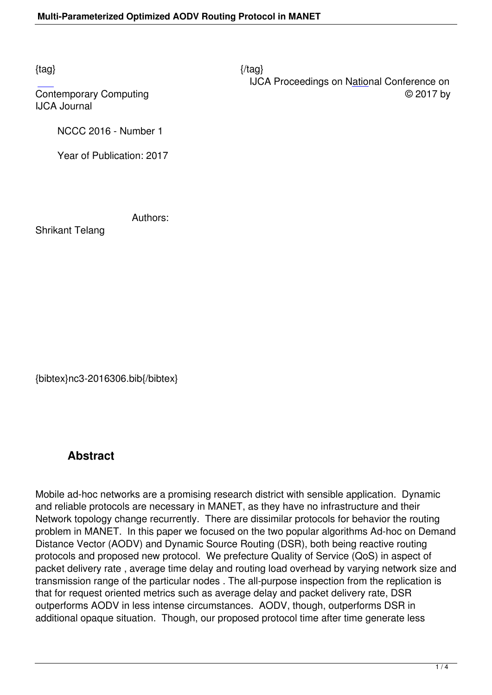$\{tag\}$ 

 IJCA Proceedings on National Conference on Contemporary Computing  $\heartsuit$  2017 by

IJCA Journal

NCCC 2016 - Number 1

Year of Publication: 2017

Authors:

Shrikant Telang

{bibtex}nc3-2016306.bib{/bibtex}

## **Abstract**

Mobile ad-hoc networks are a promising research district with sensible application. Dynamic and reliable protocols are necessary in MANET, as they have no infrastructure and their Network topology change recurrently. There are dissimilar protocols for behavior the routing problem in MANET. In this paper we focused on the two popular algorithms Ad-hoc on Demand Distance Vector (AODV) and Dynamic Source Routing (DSR), both being reactive routing protocols and proposed new protocol. We prefecture Quality of Service (QoS) in aspect of packet delivery rate , average time delay and routing load overhead by varying network size and transmission range of the particular nodes . The all-purpose inspection from the replication is that for request oriented metrics such as average delay and packet delivery rate, DSR outperforms AODV in less intense circumstances. AODV, though, outperforms DSR in additional opaque situation. Though, our proposed protocol time after time generate less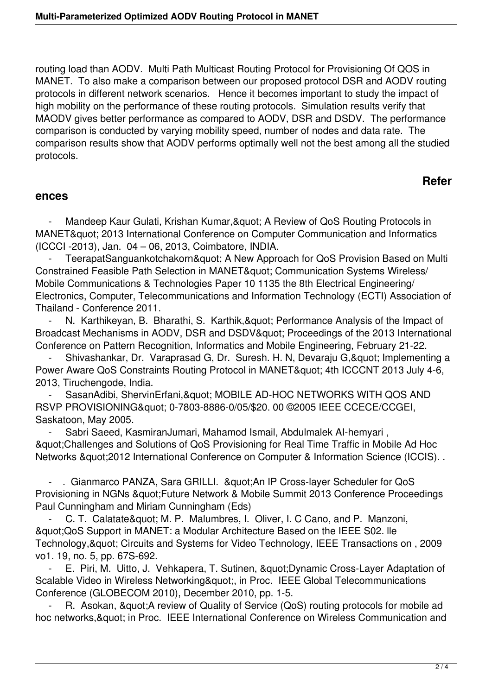routing load than AODV. Multi Path Multicast Routing Protocol for Provisioning Of QOS in MANET. To also make a comparison between our proposed protocol DSR and AODV routing protocols in different network scenarios. Hence it becomes important to study the impact of high mobility on the performance of these routing protocols. Simulation results verify that MAODV gives better performance as compared to AODV, DSR and DSDV. The performance comparison is conducted by varying mobility speed, number of nodes and data rate. The comparison results show that AODV performs optimally well not the best among all the studied protocols.

## **Refer**

## **ences**

Mandeep Kaur Gulati, Krishan Kumar, & quot; A Review of QoS Routing Protocols in MANET" 2013 International Conference on Computer Communication and Informatics (ICCCI -2013), Jan. 04 – 06, 2013, Coimbatore, INDIA.

TeerapatSanguankotchakorn" A New Approach for QoS Provision Based on Multi Constrained Feasible Path Selection in MANET" Communication Systems Wireless/ Mobile Communications & Technologies Paper 10 1135 the 8th Electrical Engineering/ Electronics, Computer, Telecommunications and Information Technology (ECTI) Association of Thailand - Conference 2011.

N. Karthikeyan, B. Bharathi, S. Karthik, & quot; Performance Analysis of the Impact of Broadcast Mechanisms in AODV, DSR and DSDV" Proceedings of the 2013 International Conference on Pattern Recognition, Informatics and Mobile Engineering, February 21-22.

Shivashankar, Dr. Varaprasad G, Dr. Suresh. H. N, Devaraju G, & quot; Implementing a Power Aware QoS Constraints Routing Protocol in MANET" 4th ICCCNT 2013 July 4-6, 2013, Tiruchengode, India.

SasanAdibi, ShervinErfani, & quot; MOBILE AD-HOC NETWORKS WITH QOS AND RSVP PROVISIONING" 0-7803-8886-0/05/\$20. 00 ©2005 IEEE CCECE/CCGEI, Saskatoon, May 2005.

 - Sabri Saeed, KasmiranJumari, Mahamod Ismail, Abdulmalek AI-hemyari , "Challenges and Solutions of QoS Provisioning for Real Time Traffic in Mobile Ad Hoc Networks "2012 International Conference on Computer & Information Science (ICCIS). .

- . Gianmarco PANZA, Sara GRILLI. & quot; An IP Cross-layer Scheduler for QoS Provisioning in NGNs & quot; Future Network & Mobile Summit 2013 Conference Proceedings Paul Cunningham and Miriam Cunningham (Eds)

C. T. Calatate" M. P. Malumbres, I. Oliver, I. C Cano, and P. Manzoni, " QoS Support in MANET: a Modular Architecture Based on the IEEE S02. Ile Technology, & quot; Circuits and Systems for Video Technology, IEEE Transactions on, 2009 vo1. 19, no. 5, pp. 67S-692.

E. Piri, M. Uitto, J. Vehkapera, T. Sutinen, "Dynamic Cross-Layer Adaptation of Scalable Video in Wireless Networking", in Proc. IEEE Global Telecommunications Conference (GLOBECOM 2010), December 2010, pp. 1-5.

R. Asokan, & quot; A review of Quality of Service (QoS) routing protocols for mobile ad hoc networks, & quot; in Proc. IEEE International Conference on Wireless Communication and